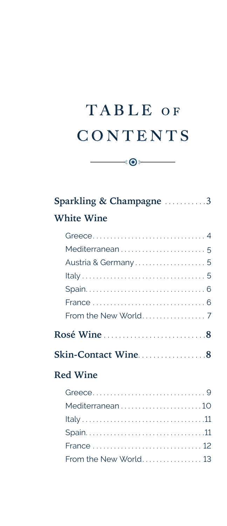# TABLE OF **CONTENTS**

 $\begin{picture}(20,20) \put(0,0){\line(1,0){100}} \put(15,0){\line(1,0){100}} \put(15,0){\line(1,0){100}} \put(15,0){\line(1,0){100}} \put(15,0){\line(1,0){100}} \put(15,0){\line(1,0){100}} \put(15,0){\line(1,0){100}} \put(15,0){\line(1,0){100}} \put(15,0){\line(1,0){100}} \put(15,0){\line(1,0){100}} \put(15,0){\line(1,0){100}} \$ 

| <b>Sparkling &amp; Champagne</b> 3 |
|------------------------------------|
| <b>White Wine</b>                  |
|                                    |
|                                    |
| Austria & Germany 5                |
|                                    |
|                                    |
|                                    |
|                                    |
|                                    |
| Skin-Contact Wine8                 |
| <b>Red Wine</b>                    |
|                                    |
|                                    |
|                                    |
|                                    |
|                                    |
| From the New World 13              |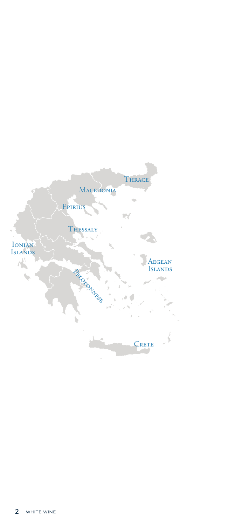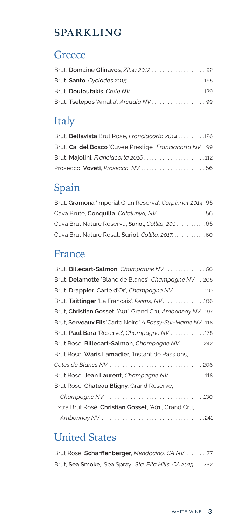#### **SPARKLING**

#### **Greece**

| Brut, Domaine Glinavos, Zitsa 2012 92 |  |
|---------------------------------------|--|
|                                       |  |
|                                       |  |
|                                       |  |

# Italy

| Brut, Bellavista Brut Rose, Franciacorta 2014 126        |  |
|----------------------------------------------------------|--|
| Brut, Ca' del Bosco 'Cuvée Prestige', Franciacorta NV 99 |  |
| Brut, Majolini, Franciacorta 2016  112                   |  |
|                                                          |  |

# Spain

Brut, **Gramona** 'Imperial Gran Reserva', *Corpinnat 2014* 95 Cava Brute, **Conquilla,** *Catalunya, NV . . . . . . . . . . . . . . . . . . .* 56 Cava Brut Nature Reserva**, Suriol,** *Collita, 201 . . . . . . . . . . .* 65 Cava Brut Nature Rosat**, Suriol,** *Collita, 2017..............*60

#### France

| Brut, Billecart-Salmon, Champagne NV 150                          |
|-------------------------------------------------------------------|
| Brut, <b>Delamotte</b> 'Blanc de Blancs', <i>Champagne NV</i> 205 |
| Brut, Drappier 'Carte d'Or', Champagne NV110                      |
|                                                                   |
| Brut, Christian Gosset, 'A01', Grand Cru, Ambonnay NV. .197       |
| Brut, Serveaux Fils 'Carte Noire,' A Passy-Sur-Marne NV 118       |
| Brut, Paul Bara 'Réserve', Champagne NV 178                       |
| Brut Rosé, Billecart-Salmon, Champagne NV 242                     |
| Brut Rosé, Waris Lamadier, 'Instant de Passions,                  |
|                                                                   |
| Brut Rosé, Jean Laurent, Champagne NV118                          |
| Brut Rosé, Chateau Bligny, Grand Reserve,                         |
|                                                                   |
| Extra Brut Rosé, Christian Gosset, 'A01', Grand Cru,              |
|                                                                   |

## United States

Brut Rosé, **Scharffenberger**, *Mendocino, CA NV* . . . . . . . 77 Brut, **Sea Smoke**, 'Sea Spray', *Sta. Rita Hills, CA 2015* . . . 232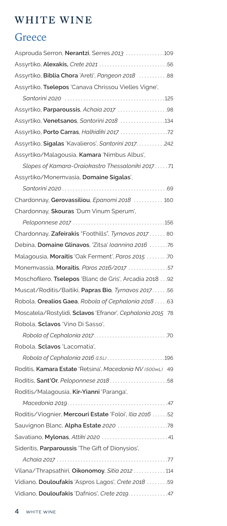### WHITE WINE

### **Greece**

| Asprouda Serron, Nerantzi, Serres 2013 109                 |
|------------------------------------------------------------|
|                                                            |
| Assyrtiko, Biblia Chora 'Areti', Pangeon 2018 88           |
| Assyrtiko, Tselepos 'Canava Chrissou Vielles Vigne',       |
|                                                            |
| Assyrtiko, Parparoussis, Achaia 2017 98                    |
| Assyrtiko, Venetsanos, Santorini 2018 134                  |
|                                                            |
| Assyrtiko, Sigalas 'Kavalieros', Santorini 2017. 242       |
| Assyrtiko/Malagousia, Kamara 'Nimbus Albus',               |
| Slopes of Kamara-Oraiokastro Thessaloniki 201771           |
| Assyrtiko/Monemvasia, Domaine Sigalas',                    |
|                                                            |
| Chardonnay, Gerovassiliou, Epanomi 2018  160               |
| Chardonnay, Skouras 'Dum Vinum Sperum',                    |
|                                                            |
| Chardonnay, Zafeirakis "Foothills", Tyrnavos 2017  80      |
| Debina, Domaine Glinavos, 'Zitsa' loannina 2016 76         |
| Malagousia, Moraitis 'Oak Ferment', Paros 2015 70          |
| Monemvassia, Moraitis, Paros 2016/2017 57                  |
| Moschofilero, Tselepos 'Blanc de Gris', Arcadia 2018  92   |
| Muscat/Roditis/Baitiki, Papras Bio, Tyrnavos 201756        |
| Robola, Orealios Gaea, Robola of Cephalonia 2018  . 63     |
| Moscatela/Rostylidi, Sclavos 'Efranor', Cephalonia 2015 78 |
| Robola, Sclavos 'Vino Di Sasso',                           |
|                                                            |
| Robola, Sclavos 'Lacomatia',                               |
|                                                            |
| Roditis, Kamara Estate 'Retsina', Macedonia NV (500ML) 49  |
|                                                            |
| Roditis/Malagousia, Kir-Yianni 'Paranga',                  |
|                                                            |
| Roditis/Viognier, Mercouri Estate 'Foloi', Ilia 2016 52    |
| Sauvignon Blanc, Alpha Estate 2020 78                      |
| Savatiano, Mylonas, Attiki 2020  41                        |
| Sideritis, Parparoussis 'The Gift of Dionysios',           |
|                                                            |
| Vilana/Thrapsathiri, Oikonomoy, Sitia 2012  114            |
| Vidiano, Douloufakis 'Aspros Lagos', Crete 2018 59         |
| Vidiano, Douloufakis 'Dafnios', Crete 2019. 47             |
|                                                            |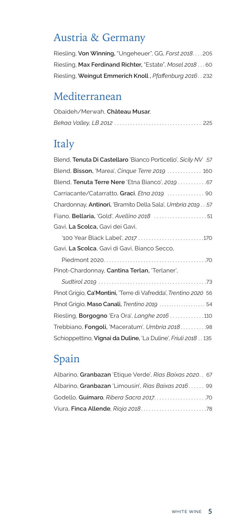#### Austria & Germany

Riesling, **Von Winning,** "Ungeheuer", GG, *Forst 2018* . . . 205 Riesling, **Max Ferdinand Richter,** "Estate", *Mosel 2018* . . 60 Riesling, **Weingut Emmerich Knoll ,** *Pfaffenburg 2016* . . 232

#### Mediterranean

| Obaideh/Merwah. Château Musar. |  |
|--------------------------------|--|
|                                |  |

# Italy

| 57. Blend, <b>Tenuta Di Castellaro</b> 'Bianco Porticello', <i>Sicily NV</i> |
|------------------------------------------------------------------------------|
| Blend, <b>Bisson, '</b> Marea', <i>Cinque Terre 2019</i> 160                 |
| Blend, <b>Tenuta Terre Nere</b> 'Etna Bianco', 2019 67                       |
| Carriacante/Catarratto, Graci, Etna 2019  90                                 |
| Chardonnay, Antinori, 'Bramito Della Sala', Umbria 2019 57                   |
| Fiano, Bellaria, 'Gold', Avellino 2018 51                                    |
| Gavi, La Scolca, Gavi dei Gavi,                                              |
| '100 Year Black Label', 2017 170                                             |
| Gavi, La Scolca, Gavi di Gavi, Bianco Secco,                                 |
|                                                                              |
| Pinot-Chardonnay, Cantina Terlan, 'Terlaner',                                |
|                                                                              |
| Pinot Grigio, Ca'Montini, 'Terre di Vafredda', Trentino 2020 56              |
| Pinot Grigio, Maso Canali, Trentino 2019  54                                 |
| Riesling, Borgogno 'Era Ora', Langhe 2016 110                                |
| Trebbiano, Fongoli, 'Maceratum', Umbria 201898                               |
| Schioppettino, Vignai da Duline, 'La Duline', Friuli 2018 135                |

## Spain

| Albarino, Granbazan 'Etique Verde', Rias Baixas 2020. 67          |  |
|-------------------------------------------------------------------|--|
| Albarino. <b>Granbazan</b> 'Limousin', <i>Rigs Baixas 2016</i> 99 |  |
|                                                                   |  |
|                                                                   |  |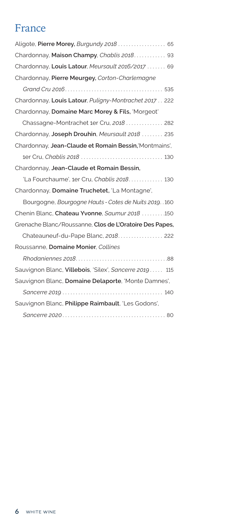#### France

| Aligote, Pierre Morey, Burgundy 2018  65                |
|---------------------------------------------------------|
| Chardonnay, Maison Champy, Chablis 2018.  93            |
| Chardonnay, Louis Latour, Meursault 2016/2017  69       |
| Chardonnay, Pierre Meurgey, Corton-Charlemagne          |
|                                                         |
| Chardonnay, Louis Latour, Puligny-Montrachet 2017 222   |
| Chardonnay, Domaine Marc Morey & Fils, 'Morgeot'        |
| Chassagne-Montrachet 1er Cru, 2018  282                 |
| Chardonnay, Joseph Drouhin, Meursault 2018  235         |
| Chardonnay, Jean-Claude et Romain Bessin, Montmains',   |
|                                                         |
| Chardonnay, Jean-Claude et Romain Bessin,               |
| 'La Fourchaume', 1er Cru, Chablis 2018 130              |
| Chardonnay, Domaine Truchetet, 'La Montagne',           |
| Bourgogne, Bourgogne Hauts - Cotes de Nuits 2019. . 160 |
| Chenin Blanc, Chateau Yvonne, Saumur 2018 150           |
| Grenache Blanc/Roussanne, Clos de L'Oratoire Des Papes, |
| Chateauneuf-du-Pape Blanc, 2018 222                     |
| Roussanne, Domaine Monier, Collines                     |
|                                                         |
| Sauvignon Blanc, Villebois, 'Silex', Sancerre 2019 115  |
| Sauvignon Blanc, Domaine Delaporte, 'Monte Damnes',     |
|                                                         |
| Sauvignon Blanc, Philippe Raimbault, 'Les Godons',      |
|                                                         |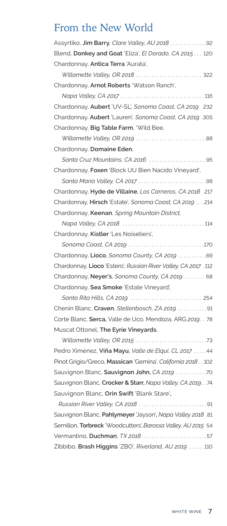# From the New World

| Assyrtiko, Jim Barry, Clare Valley, AU 2018 92                 |
|----------------------------------------------------------------|
| Blend, Donkey and Goat 'Eliza', El Dorado, CA 2015  120        |
| Chardonnay, Antica Terra 'Aurata',                             |
| Willamette Valley, OR 2018  322                                |
| Chardonnay, Arnot Roberts 'Watson Ranch',                      |
|                                                                |
| Chardonnay, Aubert 'UV-SL', Sonoma Coast, CA 2019 232          |
| Chardonnay, Aubert 'Lauren', Sonoma Coast, CA 2019 .305        |
| Chardonnay, Big Table Farm, 'Wild Bee,                         |
|                                                                |
| Chardonnay, Domaine Eden,                                      |
| Santa Cruz Mountains, CA 2016 95                               |
| Chardonnay, Foxen 'Block UU Bien Nacido Vineyard',             |
|                                                                |
| Chardonnay, Hyde de Villaine, Los Carneros, CA 2018 217        |
| Chardonnay, Hirsch 'Estate', Sonoma Coast, CA 2019 214         |
| Chardonnay, Keenan, Spring Mountain District,                  |
|                                                                |
| Chardonnay, Kistler 'Les Noisetiers',                          |
| Sonoma Coast, CA 2019 170                                      |
| Chardonnay, Lioco, Sonoma County, CA 2019 69                   |
| Chardonnay, Lioco 'Estero', Russian River Valley, CA 2017 .112 |
| Chardonnay, Neyer's, Sonoma County, CA 2019  68                |
| Chardonnay, Sea Smoke 'Estate Vineyard',                       |
| Santa Rita Hills, CA 2019  254                                 |
| Chenin Blanc, Craven, Stellenbosch, ZA 2019 91                 |
| Corte Blanc, Serca, Valle de Uco, Mendoza, ARG 2019 78         |
| Muscat Ottonel, The Eyrie Vineyards,                           |
|                                                                |
| Pedro Ximenez, Viña Mayu, Valle de Elquí, CL 2017 44           |
| Pinot Grigio/Greco, Massican 'Gemina', California 2018102      |
|                                                                |
| Sauvignon Blanc, Crocker & Starr, Napa Valley, CA 2019. 74     |
| Sauvignon Blanc, Orin Swift 'Blank Stare',                     |
|                                                                |
| Sauvignon Blanc, Pahlymeyer 'Jayson', Napa Valley 2018 .81     |
| Semillon, Torbreck 'Woodcutters', Barossa Valley, AU 2015 54   |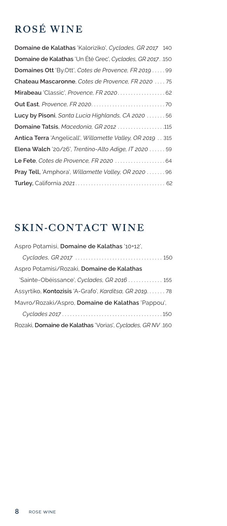# ROSÉ WINE

| Domaine de Kalathas 'Kaloriziko', Cyclades, GR 2017 140     |
|-------------------------------------------------------------|
| Domaine de Kalathas 'Un Été Grec', Cyclades, GR 2017. .150  |
| Domaines Ott 'By Ott', Cotes de Provence, FR 2019  99       |
| <b>Chateau Mascaronne</b> , Cotes de Provence, FR 2020  75  |
| Mirabeau 'Classic', Provence, FR 2020 62                    |
|                                                             |
| Lucy by Pisoni, Santa Lucia Highlands, CA 2020 56           |
| Domaine Tatsis, Macedonia, GR 2012 115                      |
| Antica Terra 'Angelicall', Willamette Valley, OR 2019  315  |
| <b>Elena Walch '20/26', Trentino-Alto Adige, IT 2020</b> 59 |
| Le Fete, Cotes de Provence, FR 2020  64                     |
| <b>Pray Tell</b> , 'Amphora', Willamette Valley, OR 2020 96 |
|                                                             |

## SKIN-CONTACT WINE

| Aspro Potamisi, Domaine de Kalathas '10+12',                      |
|-------------------------------------------------------------------|
|                                                                   |
| Aspro Potamisi/Rozaki, Domaine de Kalathas                        |
| 'Sainte-Obéissance', Cyclades, GR 2016  155                       |
| Assyrtiko, Kontozisis 'A-Grafo', Karditsa, GR 2019. 78            |
| Mavro/Rozaki/Aspro, Domaine de Kalathas 'Pappou',                 |
|                                                                   |
| Rozaki, <b>Domaine de Kalathas</b> 'Vorias', Cyclades, GR NV .160 |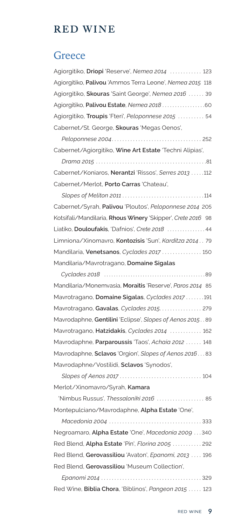#### **RED WINE**

#### **Greece**

| Agiorgitiko, Driopi 'Reserve', Nemea 2014  123              |
|-------------------------------------------------------------|
| Agiorgitiko, Palivou 'Ammos Terra Leone', Nemea 2015 118    |
| Agiorgitiko, Skouras 'Saint George', Nemea 2016  39         |
| Agiorgitiko, Palivou Estate, Nemea 2018 60                  |
| Agiorgitiko, Troupis 'Fteri', Peloponnese 2015  54          |
| Cabernet/St. George, Skouras 'Megas Oenos',                 |
|                                                             |
| Cabernet/Agiorgitiko, Wine Art Estate 'Techni Alipias',     |
|                                                             |
| Cabernet/Koniaros, Nerantzi 'Rissos', Serres 2013  112      |
| Cabernet/Merlot, Porto Carras 'Chateau',                    |
|                                                             |
| Cabernet/Syrah, Palivou 'Ploutos', Peloponnese 2014 205     |
| Kotsifali/Mandilaria, Rhous Winery 'Skipper', Crete 2016 98 |
| Liatiko, Douloufakis, 'Dafnios', Crete 2018  44             |
| Limniona/Xinomavro, Kontozisis 'Sun', Karditza 201479       |
| Mandilaria, Venetsanos, Cyclades 2017  150                  |
| Mandilaria/Mavrotragano, Domaine Sigalas                    |
|                                                             |
| Mandilaria/Monemvasia, Moraitis 'Reserve', Paros 2014 85    |
| Mavrotragano, Domaine Sigalas, Cyclades 2017  191           |
| Mavrotragano, Gavalas, Cyclades 2015. 279                   |
| Mavrodaphne, Gentilini 'Eclipse', Slopes of Aenos 201589    |
| Mavrotragano, Hatzidakis, Cyclades 2014  162                |
| Mavrodaphne, Parparoussis 'Taos', Achaia 2012  148          |
| Mavrodaphne, Sclavos 'Orgion', Slopes of Aenos 201683       |
| Mavrodaphne/Vostilidi, Sclavos 'Synodos',                   |
|                                                             |
| Merlot/Xinomavro/Syrah, Kamara                              |
| 'Nimbus Russus', Thessaloniki 2016  85                      |
| Montepulciano/Mavrodaphne, Alpha Estate 'One',              |
|                                                             |
| Negroamaro, Alpha Estate 'One', Macedonia 2009 340          |
| Red Blend, Alpha Estate 'Pin', Florina 2005  292            |
| Red Blend, Gerovassiliou 'Avaton', Epanomi, 2013  196       |
| Red Blend, Gerovassiliou 'Museum Collection',               |
|                                                             |
| Red Wine, Biblia Chora, 'Biblinos', Pangeon 2015  123       |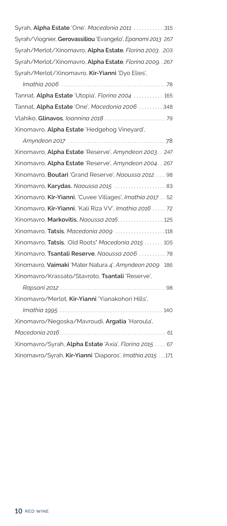Syrah, **Alpha Estate** 'One', *Macedonia 2011* . . . . . . . . . . . 315 Syrah/Viognier, **Gerovassiliou** 'Evangelo', *Epanomi 2013* 267 Syrah/Merlot/Xinomavro, **Alpha Estate**, *Florina 2003* . 203 Syrah/Merlot/Xinomavro, **Alpha Estate**, *Florina 2009* . 267 Syrah/Merlot/Xinomavro, **Kir-Yianni** 'Dyo Elies',

| Tannat, <b>Alpha Estate</b> 'Utopia', <i>Floring 2004</i> 165 |
|---------------------------------------------------------------|
| Tannat, <b>Alpha Estate</b> 'One', <i>Macedonia 2006</i> 348  |
|                                                               |
| Xinomavro, Alpha Estate 'Hedgehog Vineyard',                  |
|                                                               |
| Xinomavro, Alpha Estate 'Reserve', Amyndeon 2003 247          |
| Xinomavro, Alpha Estate 'Reserve', Amyndeon 2004 267          |
| Xinomavro, Boutari 'Grand Reserve', Naoussa 2012 98           |
| Xinomavro, Karydas, Naoussa 2015  83                          |
| Xinomavro, Kir-Yianni, 'Cuvee Villages', Imathia 2017 52      |
| Xinomavro, Kir-Yianni, 'Kali Riza VV', <i>Imathia 2016</i> 72 |
|                                                               |

Xinomavro, **Tatsis**, *Macedonia 2009* . . . . . . . . . . . . . . . . . . 118 Xinomavro, **Tatsis**, :Old Roots" *Macedonia 2015* . . . . . . . 105 Xinomavro, **Tsantali Reserve**, *Naoussa 2006* . . . . . . . . . . 78 Xinomavro, **Vaimaki** 'Mater Natura 4', *Amyndeon 2009* 186 Xinomavro/Krassato/Stavroto, **Tsantali** 'Reserve', *Rapsani 2012* . . . . . . . . . . . . . . . . . . . . . . . . . . . . . . . . . . . . . . . . . . . . . 98 Xinomavro/Merlot, **Kir-Yianni** 'Yianakohori Hills', *Imathia 1995* . . . . . . . . . . . . . . . . . . . . . . . . . . . . . . . . . . . . . . . 140

Xinomavro, **Markovitis**, *Naoussa 2016* . . . . . . . . . . . . . . . . . 125

| Xinomavro/Negoska/Mavroudi, Argatia 'Haroula',           |
|----------------------------------------------------------|
|                                                          |
| Xinomavro/Syrah, Alpha Estate 'Axia', Florina 2015  67   |
| Xinomavro/Syrah, Kir-Yianni 'Diaporos', Imathia 2015 171 |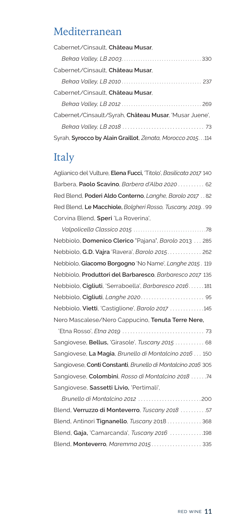#### Mediterranean

| Cabernet/Cinsault, Château Musar,                         |
|-----------------------------------------------------------|
|                                                           |
| Cabernet/Cinsault, Château Musar,                         |
|                                                           |
| Cabernet/Cinsault. Château Musar.                         |
|                                                           |
| Cabernet/Cinsault/Syrah, Château Musar, 'Musar Juene',    |
|                                                           |
| Syrah, Syrocco by Alain Graillot, Zenata, Morocco 2015114 |

#### Italy

Aglianico del Vulture, **Elena Fucci,** 'Titolo', *Basilicata 2017* 140 Barbera, **Paolo Scavino**, *Barbera d'Alba 2020* . . . . . . . . . . 62 Red Blend, **Poderi Aldo Conterno**, *Langhe, Barolo 2017* . 82 Red Blend, **Le Macchiole,** *Bolgheri Rosso, Tuscany, 2019*.. 99 Corvina Blend, **Speri** 'La Roverina',

*Valpolicella Classico 2015* . . . . . . . . . . . . . . . . . . . . . . . . . . . . . . 78 Nebbiolo, **Domenico Clerico** "Pajana", *Barolo* 2013 . . . 285 Nebbiolo, **G.D. Vajra** 'Ravera', *Barolo 2015* . . . . . . . . . . . . . 262 Nebbiolo, **Giacomo Borgogno** 'No Name', *Langhe 2015* . 119 Nebbiolo, **Produttori del Barbaresco**, *Barbaresco 2017* 135 Nebbiolo, **Cigliuti**, 'Serraboella', *Barbaresco 2016* . . . . . 181 Nebbiolo, **Cigliuti**, *Langhe 2020* . . . . . . . . . . . . . . . . . . . . . . . . 95 Nebbiolo, **Vietti**, 'Castiglione', *Barolo 2017* . . . . . . . . . . . . 145 Nero Mascalese/Nero Cappucino, **Tenuta Terre Nere,**

 'Etna Rosso', *Etna 2019* . . . . . . . . . . . . . . . . . . . . . . . . . . . . . . . 73 Sangiovese, **Bellus,** 'Girasole', *Tuscany 2015* . . . . . . . . . . . 68 Sangiovese, **La Magia**, *Brunello di Montalcino 2016* . . . 150 Sangiovese, **Conti Constanti**, *Brunello di Montalcino 2016* 305 Sangiovese, **Colombini**, *Rosso di Montalcino 2018* . . . . . 74 Sangiovese, **Sassetti Livio,** 'Pertimali',

*Brunello di Montalcino 2012* . . . . . . . . . . . . . . . . . . . . . . . 200 Blend, **Verruzzo di Monteverro**, *Tuscany 2018* . . . . . . . . . 57 Blend, Antinori **Tignanello**, *Tuscany* 2018 . . . . . . . . . . . . . 368 Blend, **Gaja,** 'Camarcanda', *Tuscany 2016* . . . . . . . . . . . . 198 Blend, **Monteverro**, *Maremma 2015* . . . . . . . . . . . . . . . . . . . 335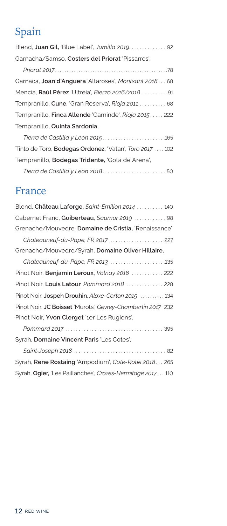## Spain

| Blend, <b>Juan Gil</b> , 'Blue Label', <i>Jumilla 2019.</i> 92       |
|----------------------------------------------------------------------|
| Garnacha/Samso, Costers del Priorat 'Pissarres',                     |
|                                                                      |
| Garnaca, <b>Joan d'Anguera</b> 'Altaroses', Montsant 2018 68         |
| Mencía, Raúl Pérez 'Ultreia', Bierzo 2016/2018 91                    |
| Tempranillo, Cune, 'Gran Reserva', Rioja 2011  68                    |
| Tempranillo, <b>Finca Allende</b> 'Gaminde', <i>Rioja 2015</i> . 222 |
| Tempranillo, Quinta Sardonia,                                        |
|                                                                      |
|                                                                      |

*Tierra de Castilla y Leon 2018* . . . . . . . . . . . . . . . . . . . . . . . . 50

Tinto de Toro, **Bodegas Ordonez,** 'Vatan', *Toro 2017* . . . . 102

Tempranillo, **Bodegas Tridente,** 'Gota de Arena',

#### France

| Blend, Château Laforge, Saint-Emilion 2014  140             |
|-------------------------------------------------------------|
| Cabernet Franc, Guiberteau, Saumur 2019  98                 |
| Grenache/Mouvedre, Domaine de Cristia, 'Renaissance'        |
| Chateauneuf-du-Pape, FR 2017  227                           |
| Grenache/Mouvedre/Syrah, Domaine Oliver Hillaire,           |
| Chateauneuf-du-Pape, FR 2013 135                            |
| Pinot Noir, Benjamin Leroux, Volnay 2018  222               |
| Pinot Noir, Louis Latour, Pommard 2018  228                 |
| Pinot Noir, Jospeh Drouhin, Aloxe-Corton 2015  134          |
| Pinot Noir, JC Boisset 'Murots', Gevrey-Chambertin 2017 232 |
| Pinot Noir, Yvon Clerget '1er Les Rugiens',                 |
|                                                             |
| Syrah, Domaine Vincent Paris 'Les Cotes',                   |
|                                                             |
| Syrah, Rene Rostaing 'Ampodium', Cote-Rotie 2018 265        |
| Syrah, Ogier, 'Les Paillanches', Crozes-Hermitage 2017110   |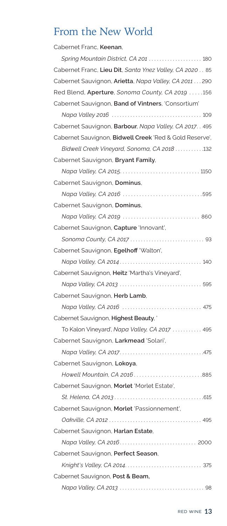## From the New World

Cabernet Franc, **Keenan**,

| Spring Mountain District, CA 201  180                    |
|----------------------------------------------------------|
| Cabernet Franc, Lieu Dit, Santa Ynez Valley, CA 2020 85  |
| Cabernet Sauvignon, Arietta, Napa Valley, CA 2011  290   |
| Red Blend, Aperture, Sonoma County, CA 2019  .156        |
| Cabernet Sauvignon, Band of Vintners, 'Consortium'       |
|                                                          |
| Cabernet Sauvignon, Barbour, Napa Valley, CA 2017. . 495 |
| Cabernet Sauvignon, Bidwell Creek 'Red & Gold Reserve',  |
| Bidwell Creek Vineyard, Sonoma, CA 2018  132             |
| Cabernet Sauvignon, Bryant Family,                       |
|                                                          |
| Cabernet Sauvignon, Dominus,                             |
| Napa Valley, CA 2016 595                                 |
| Cabernet Sauvignon, Dominus,                             |
| Napa Valley, CA 2019  860                                |
| Cabernet Sauvignon, Capture 'Innovant',                  |
|                                                          |
| Cabernet Sauvignon, Egelhoff 'Walton',                   |
|                                                          |
| Cabernet Sauvignon, Heitz 'Martha's Vineyard',           |
|                                                          |
| Cabernet Sauvignon, Herb Lamb,                           |
| Napa Valley, CA 2016  475                                |
| Cabernet Sauvignon, Highest Beauty, '                    |
| To Kalon Vineyard', Napa Valley, CA 2017  495            |
| Cabernet Sauvignon, Larkmead 'Solari',                   |
|                                                          |
| Cabernet Sauvignon, Lokoya,                              |
|                                                          |
| Cabernet Sauvignon, Morlet 'Morlet Estate',              |
|                                                          |
| Cabernet Sauvignon, Morlet 'Passionnement',              |
|                                                          |
| Cabernet Sauvignon, Harlan Estate,                       |
|                                                          |
| Cabernet Sauvignon, Perfect Season,                      |
|                                                          |
| Cabernet Sauvignon, Post & Beam,                         |
|                                                          |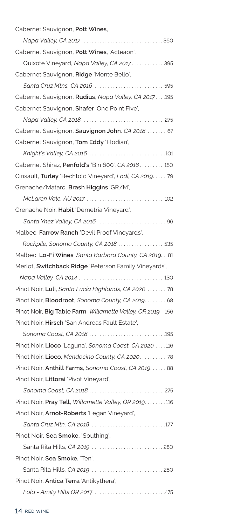| Cabernet Sauvignon, Pott Wines,                            |
|------------------------------------------------------------|
|                                                            |
| Cabernet Sauvignon, Pott Wines, 'Acteaon',                 |
| Quixote Vineyard, Napa Valley, CA 2017.  395               |
| Cabernet Sauvignon, Ridge 'Monte Bello',                   |
| Santa Cruz Mtns, CA 2016  595                              |
| Cabernet Sauvignon, Rudius, Napa Valley, CA 2017195        |
| Cabernet Sauvignon, Shafer 'One Point Five',               |
|                                                            |
| Cabernet Sauvignon, Sauvignon John, CA 2018  67            |
| Cabernet Sauvignon, Tom Eddy 'Elodian',                    |
|                                                            |
| Cabernet Shiraz, Penfold's 'Bin 600', CA 2018 150          |
| Cinsault, Turley 'Bechtold Vineyard', Lodi, CA 2019. 79    |
| Grenache/Mataro, Brash Higgins 'GR/M',                     |
|                                                            |
| Grenache Noir, Habit 'Demetria Vineyard',                  |
| Santa Ynez Valley, CA 2016  96                             |
| Malbec, Farrow Ranch 'Devil Proof Vineyards',              |
| Rockpile, Sonoma County, CA 2018  535                      |
| Malbec, Lo-Fi Wines, Santa Barbara County, CA 2019. 81     |
| Merlot, Switchback Ridge 'Peterson Family Vineyards',      |
|                                                            |
| Pinot Noir, Luli, Santa Lucia Highlands, CA 2020  78       |
| Pinot Noir, Bloodroot, Sonoma County, CA 2019. 68          |
| Pinot Noir, Big Table Farm, Willamette Valley, OR 2019 156 |
| Pinot Noir, Hirsch 'San Andreas Fault Estate',             |
|                                                            |
| Pinot Noir, Lioco 'Laguna', Sonoma Coast, CA 2020 116      |
| Pinot Noir, Lioco, Mendocino County, CA 2020. 78           |
| Pinot Noir, Anthill Farms, Sonoma Coast, CA 2019. 88       |
| Pinot Noir, Littorai 'Pivot Vineyard',                     |
|                                                            |
| Pinot Noir, Pray Tell, Willamette Valley, OR 2019. 116     |
| Pinot Noir, Arnot-Roberts 'Legan Vineyard',                |
| Santa Cruz Mtn, CA 2018 177                                |
| Pinot Noir, Sea Smoke, 'Southing',                         |
| Santa Rita Hills, CA 2019  280                             |
| Pinot Noir, Sea Smoke, 'Ten',                              |
| Santa Rita Hills, CA 2019  280                             |
| Pinot Noir, Antica Terra 'Antikythera',                    |
|                                                            |
|                                                            |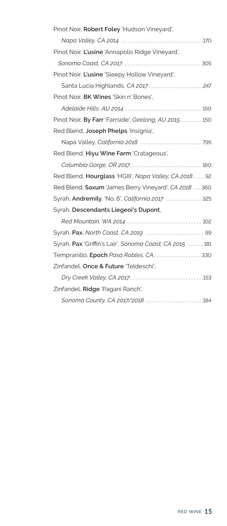| Pinot Noir, Robert Foley 'Hudson Vineyard',            |
|--------------------------------------------------------|
|                                                        |
| Pinot Noir, L'usine 'Annapolis Ridge Vineyard',        |
|                                                        |
| Pinot Noir, L'usine 'Sleepy Hollow Vineyard',          |
| Santa Lucia Highlands, CA 2017. 247                    |
| Pinot Noir, <b>BK Wines</b> 'Skin n' Bones',           |
| Adelaide Hills, AU 2014  150                           |
| Pinot Noir, By Farr 'Farrside', Geelong, AU 2015 150   |
| Red Blend, Joseph Phelps 'Insignia',                   |
|                                                        |
| Red Blend, Hiyu Wine Farm 'Cratageous',                |
|                                                        |
| Red Blend, Hourglass 'HGIII', Napa Valley, CA 2018 92  |
| Red Blend, Saxum 'James Berry Vineyard', CA 2018 360   |
| Syrah, Andremily, 'No. 6', California 2017  325        |
| Syrah, Descendants Liegeoi's Dupont,                   |
|                                                        |
|                                                        |
| Syrah, Pax 'Griffin's Lair', Sonoma Coast, CA 2015 181 |
| Tempranillo, Epoch Pasa Robles, CA330                  |
| Zinfandel, Once & Future 'Teldeschi',                  |
|                                                        |
| Zinfandel, Ridge 'Pagani Ranch',                       |
| Sonoma County, CA 2017/2018 184                        |